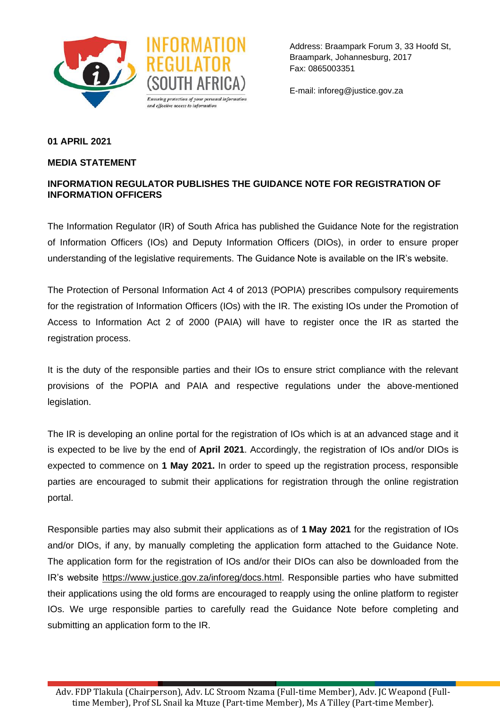



Address: Braampark Forum 3, 33 Hoofd St, Braampark, Johannesburg, 2017 Fax: 0865003351

E-mail: inforeg@justice.gov.za

## **01 APRIL 2021**

## **MEDIA STATEMENT**

## **INFORMATION REGULATOR PUBLISHES THE GUIDANCE NOTE FOR REGISTRATION OF INFORMATION OFFICERS**

The Information Regulator (IR) of South Africa has published the Guidance Note for the registration of Information Officers (IOs) and Deputy Information Officers (DIOs), in order to ensure proper understanding of the legislative requirements. The Guidance Note is available on the IR's website.

The Protection of Personal Information Act 4 of 2013 (POPIA) prescribes compulsory requirements for the registration of Information Officers (IOs) with the IR. The existing IOs under the Promotion of Access to Information Act 2 of 2000 (PAIA) will have to register once the IR as started the registration process.

It is the duty of the responsible parties and their IOs to ensure strict compliance with the relevant provisions of the POPIA and PAIA and respective regulations under the above-mentioned legislation.

The IR is developing an online portal for the registration of IOs which is at an advanced stage and it is expected to be live by the end of **April 2021**. Accordingly, the registration of IOs and/or DIOs is expected to commence on **1 May 2021.** In order to speed up the registration process, responsible parties are encouraged to submit their applications for registration through the online registration portal.

Responsible parties may also submit their applications as of **1 May 2021** for the registration of IOs and/or DIOs, if any, by manually completing the application form attached to the Guidance Note. The application form for the registration of IOs and/or their DIOs can also be downloaded from the IR's website [https://www.justice.gov.za/inforeg/docs.html.](https://www.justice.gov.za/inforeg/docs.html) Responsible parties who have submitted their applications using the old forms are encouraged to reapply using the online platform to register IOs. We urge responsible parties to carefully read the Guidance Note before completing and submitting an application form to the IR.